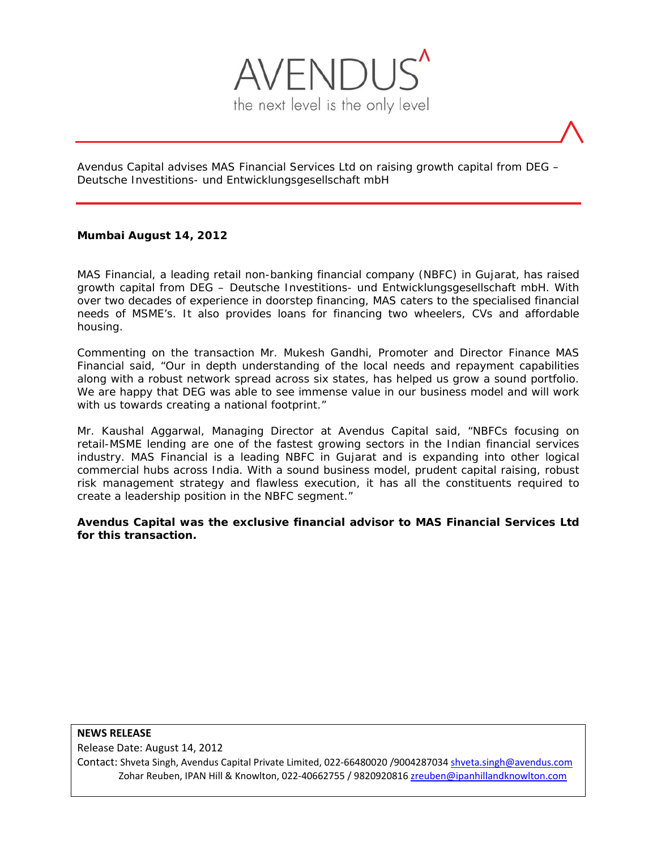

Avendus Capital advises MAS Financial Services Ltd on raising growth capital from DEG – Deutsche Investitions- und Entwicklungsgesellschaft mbH

# **Mumbai August 14, 2012**

MAS Financial, a leading retail non-banking financial company (NBFC) in Gujarat, has raised growth capital from DEG – Deutsche Investitions- und Entwicklungsgesellschaft mbH. With over two decades of experience in doorstep financing, MAS caters to the specialised financial needs of MSME's. It also provides loans for financing two wheelers, CVs and affordable housing.

Commenting on the transaction Mr. Mukesh Gandhi, Promoter and Director Finance MAS Financial said, "Our in depth understanding of the local needs and repayment capabilities along with a robust network spread across six states, has helped us grow a sound portfolio. We are happy that DEG was able to see immense value in our business model and will work with us towards creating a national footprint."

Mr. Kaushal Aggarwal, Managing Director at Avendus Capital said, "NBFCs focusing on retail-MSME lending are one of the fastest growing sectors in the Indian financial services industry. MAS Financial is a leading NBFC in Gujarat and is expanding into other logical commercial hubs across India. With a sound business model, prudent capital raising, robust risk management strategy and flawless execution, it has all the constituents required to create a leadership position in the NBFC segment."

**Avendus Capital was the exclusive financial advisor to MAS Financial Services Ltd for this transaction.** 

#### **NEWS RELEASE**

Release Date: August 14, 2012

Contact: Shveta Singh, Avendus Capital Private Limited, 022‐66480020 /9004287034 shveta.singh@avendus.com Zohar Reuben, IPAN Hill & Knowlton, 022‐40662755 / 9820920816 zreuben@ipanhillandknowlton.com